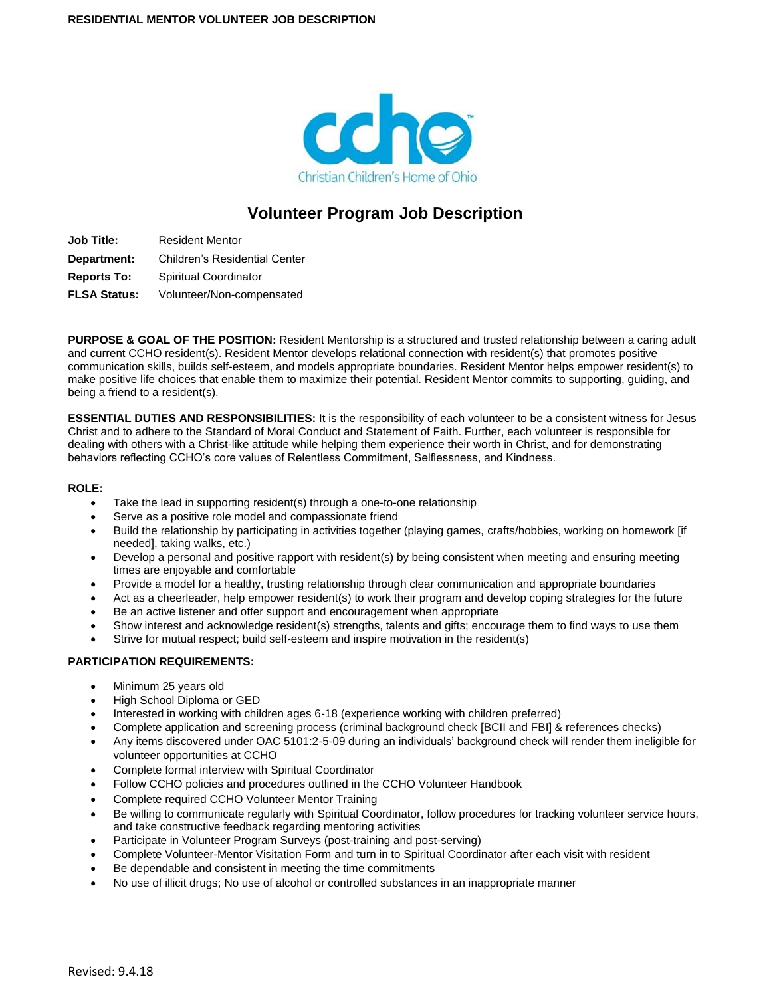

# **Volunteer Program Job Description**

**Job Title:** Resident Mentor **Department:** Children's Residential Center **Reports To:** Spiritual Coordinator **FLSA Status:** Volunteer/Non-compensated

**PURPOSE & GOAL OF THE POSITION:** Resident Mentorship is a structured and trusted relationship between a caring adult and current CCHO resident(s). Resident Mentor develops relational connection with resident(s) that promotes positive communication skills, builds self-esteem, and models appropriate boundaries. Resident Mentor helps empower resident(s) to make positive life choices that enable them to maximize their potential. Resident Mentor commits to supporting, guiding, and being a friend to a resident(s).

**ESSENTIAL DUTIES AND RESPONSIBILITIES:** It is the responsibility of each volunteer to be a consistent witness for Jesus Christ and to adhere to the Standard of Moral Conduct and Statement of Faith. Further, each volunteer is responsible for dealing with others with a Christ-like attitude while helping them experience their worth in Christ, and for demonstrating behaviors reflecting CCHO's core values of Relentless Commitment, Selflessness, and Kindness.

#### **ROLE:**

- Take the lead in supporting resident(s) through a one-to-one relationship
- Serve as a positive role model and compassionate friend
- Build the relationship by participating in activities together (playing games, crafts/hobbies, working on homework [if needed], taking walks, etc.)
- Develop a personal and positive rapport with resident(s) by being consistent when meeting and ensuring meeting times are enjoyable and comfortable
- Provide a model for a healthy, trusting relationship through clear communication and appropriate boundaries
- Act as a cheerleader, help empower resident(s) to work their program and develop coping strategies for the future
- Be an active listener and offer support and encouragement when appropriate
- Show interest and acknowledge resident(s) strengths, talents and gifts; encourage them to find ways to use them
- Strive for mutual respect; build self-esteem and inspire motivation in the resident(s)

#### **PARTICIPATION REQUIREMENTS:**

- Minimum 25 years old
- High School Diploma or GED
- Interested in working with children ages 6-18 (experience working with children preferred)
- Complete application and screening process (criminal background check [BCII and FBI] & references checks)
- Any items discovered under OAC 5101:2-5-09 during an individuals' background check will render them ineligible for volunteer opportunities at CCHO
- Complete formal interview with Spiritual Coordinator
- Follow CCHO policies and procedures outlined in the CCHO Volunteer Handbook
- Complete required CCHO Volunteer Mentor Training
- Be willing to communicate regularly with Spiritual Coordinator, follow procedures for tracking volunteer service hours, and take constructive feedback regarding mentoring activities
- Participate in Volunteer Program Surveys (post-training and post-serving)
- Complete Volunteer-Mentor Visitation Form and turn in to Spiritual Coordinator after each visit with resident
- Be dependable and consistent in meeting the time commitments
- No use of illicit drugs; No use of alcohol or controlled substances in an inappropriate manner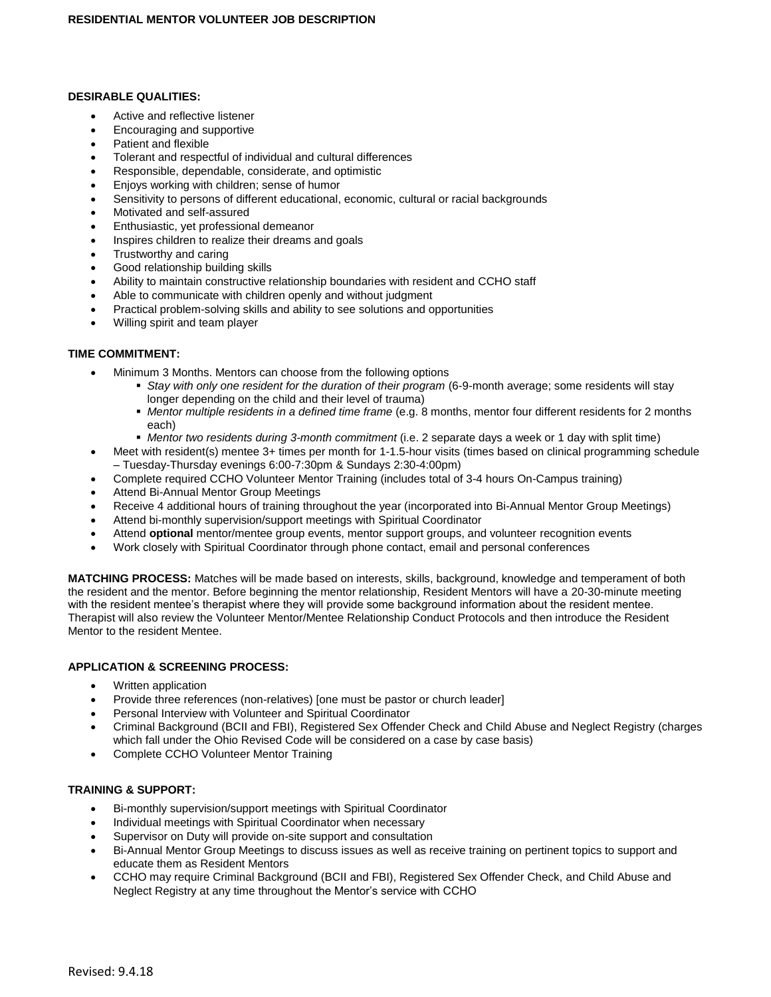### **DESIRABLE QUALITIES:**

- Active and reflective listener
- Encouraging and supportive
- Patient and flexible
- Tolerant and respectful of individual and cultural differences
- Responsible, dependable, considerate, and optimistic
- Enjoys working with children; sense of humor
- Sensitivity to persons of different educational, economic, cultural or racial backgrounds
- Motivated and self-assured
- Enthusiastic, yet professional demeanor
- Inspires children to realize their dreams and goals
- Trustworthy and caring
- Good relationship building skills
- Ability to maintain constructive relationship boundaries with resident and CCHO staff
- Able to communicate with children openly and without judgment
- Practical problem-solving skills and ability to see solutions and opportunities
- Willing spirit and team player

### **TIME COMMITMENT:**

- Minimum 3 Months. Mentors can choose from the following options
	- *Stay with only one resident for the duration of their program* (6-9-month average; some residents will stay longer depending on the child and their level of trauma)
	- *Mentor multiple residents in a defined time frame* (e.g. 8 months, mentor four different residents for 2 months each)
	- *Mentor two residents during 3-month commitment* (i.e. 2 separate days a week or 1 day with split time)
- Meet with resident(s) mentee 3+ times per month for 1-1.5-hour visits (times based on clinical programming schedule – Tuesday-Thursday evenings 6:00-7:30pm & Sundays 2:30-4:00pm)
- Complete required CCHO Volunteer Mentor Training (includes total of 3-4 hours On-Campus training)
- Attend Bi-Annual Mentor Group Meetings
- Receive 4 additional hours of training throughout the year (incorporated into Bi-Annual Mentor Group Meetings)
- Attend bi-monthly supervision/support meetings with Spiritual Coordinator
- Attend **optional** mentor/mentee group events, mentor support groups, and volunteer recognition events
- Work closely with Spiritual Coordinator through phone contact, email and personal conferences

**MATCHING PROCESS:** Matches will be made based on interests, skills, background, knowledge and temperament of both the resident and the mentor. Before beginning the mentor relationship, Resident Mentors will have a 20-30-minute meeting with the resident mentee's therapist where they will provide some background information about the resident mentee. Therapist will also review the Volunteer Mentor/Mentee Relationship Conduct Protocols and then introduce the Resident Mentor to the resident Mentee.

### **APPLICATION & SCREENING PROCESS:**

- Written application
- Provide three references (non-relatives) [one must be pastor or church leader]
- Personal Interview with Volunteer and Spiritual Coordinator
- Criminal Background (BCII and FBI), Registered Sex Offender Check and Child Abuse and Neglect Registry (charges which fall under the Ohio Revised Code will be considered on a case by case basis)
- Complete CCHO Volunteer Mentor Training

## **TRAINING & SUPPORT:**

- Bi-monthly supervision/support meetings with Spiritual Coordinator
- Individual meetings with Spiritual Coordinator when necessary
- Supervisor on Duty will provide on-site support and consultation
- Bi-Annual Mentor Group Meetings to discuss issues as well as receive training on pertinent topics to support and educate them as Resident Mentors
- CCHO may require Criminal Background (BCII and FBI), Registered Sex Offender Check, and Child Abuse and Neglect Registry at any time throughout the Mentor's service with CCHO